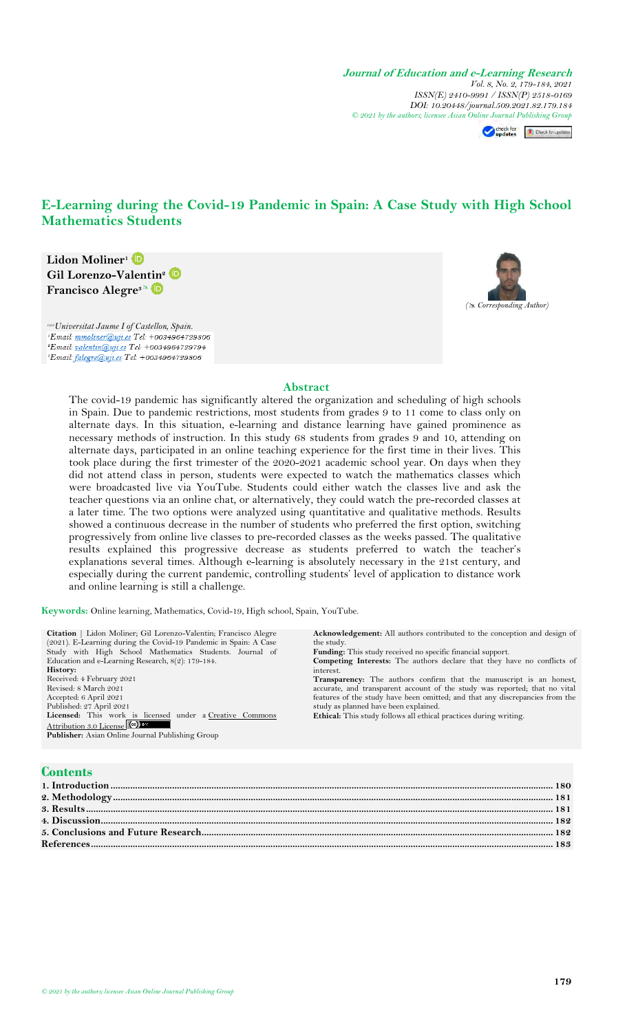**Journal of Education and e-Learning Research** *Vol. 8, No. 2, 179-184, 2021 ISSN(E) 2410-9991 / ISSN(P) 2518-0169 DOI: 10.20448/journal.509.2021.82.179.184 © 2021 by the authors; licensee Asian Online Journal Publishing Group*

Checkfor updates (R) Check for updates

# **E-Learning during the Covid-19 Pandemic in Spain: A Case Study with High School Mathematics Students**



*1,2,3Universitat Jaume I of Castellon, Spain.* <sup>s</sup>Email: valentin@uji.es Tel: +0034964729794 'Email: falegre@uji.es Tel: +0034964729806



### **Abstract**

The covid-19 pandemic has significantly altered the organization and scheduling of high schools in Spain. Due to pandemic restrictions, most students from grades 9 to 11 come to class only on alternate days. In this situation, e-learning and distance learning have gained prominence as necessary methods of instruction. In this study 68 students from grades 9 and 10, attending on alternate days, participated in an online teaching experience for the first time in their lives. This took place during the first trimester of the 2020-2021 academic school year. On days when they did not attend class in person, students were expected to watch the mathematics classes which were broadcasted live via YouTube. Students could either watch the classes live and ask the teacher questions via an online chat, or alternatively, they could watch the pre-recorded classes at a later time. The two options were analyzed using quantitative and qualitative methods. Results showed a continuous decrease in the number of students who preferred the first option, switching progressively from online live classes to pre-recorded classes as the weeks passed. The qualitative results explained this progressive decrease as students preferred to watch the teacher's explanations several times. Although e-learning is absolutely necessary in the 21st century, and especially during the current pandemic, controlling students' level of application to distance work and online learning is still a challenge.

**Keywords:** Online learning, Mathematics, Covid-19, High school, Spain, YouTube.

| Citation   Lidon Moliner; Gil Lorenzo-Valentin; Francisco Alegre | <b>Acknowledgement:</b> All authors contributed to the conception and design of |
|------------------------------------------------------------------|---------------------------------------------------------------------------------|
| (2021). E-Learning during the Covid-19 Pandemic in Spain: A Case | the study.                                                                      |
|                                                                  |                                                                                 |
| Study with High School Mathematics Students. Journal of          | <b>Funding:</b> This study received no specific financial support.              |
| Education and e-Learning Research, $8(2)$ : 179-184.             | <b>Competing Interests:</b> The authors declare that they have no conflicts of  |
| History:                                                         | interest.                                                                       |
| Received: 4 February 2021                                        | <b>Transparency:</b> The authors confirm that the manuscript is an honest,      |
| Revised: 8 March 2021                                            | accurate, and transparent account of the study was reported; that no vital      |
| Accepted: 6 April 2021                                           | features of the study have been omitted; and that any discrepancies from the    |
| Published: 27 April 2021                                         | study as planned have been explained.                                           |
| Licensed: This work is licensed under a Creative Commons         | Ethical: This study follows all ethical practices during writing.               |
| Attribution 3.0 License (cc)                                     |                                                                                 |
| Publisher: Asian Online Journal Publishing Group                 |                                                                                 |
|                                                                  |                                                                                 |
|                                                                  |                                                                                 |
|                                                                  |                                                                                 |

# **Contents**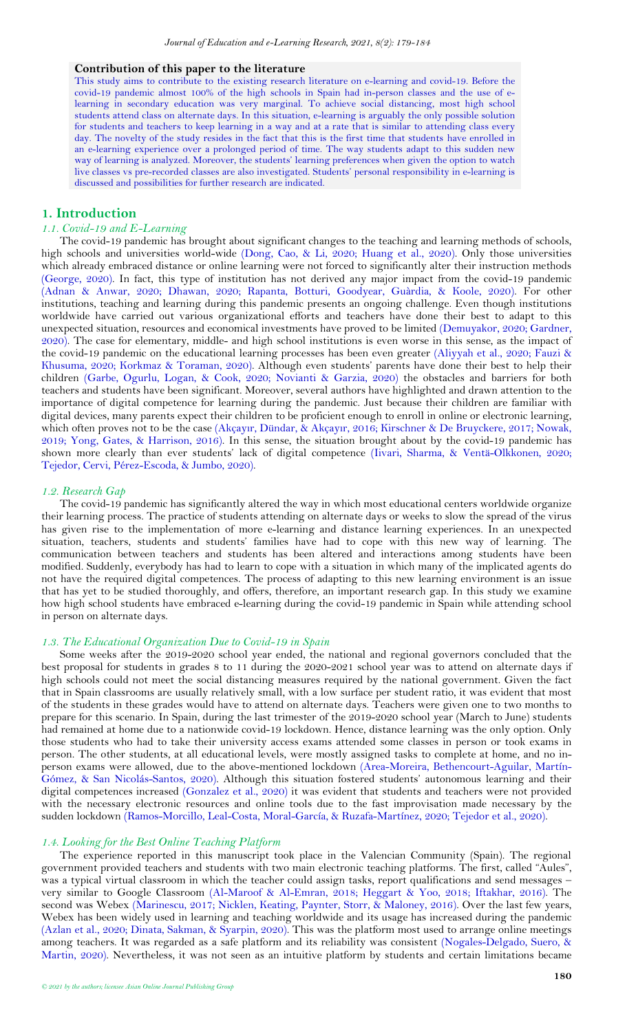#### **Contribution of this paper to the literature**

This study aims to contribute to the existing research literature on e-learning and covid-19. Before the covid-19 pandemic almost 100% of the high schools in Spain had in-person classes and the use of elearning in secondary education was very marginal. To achieve social distancing, most high school students attend class on alternate days. In this situation, e-learning is arguably the only possible solution for students and teachers to keep learning in a way and at a rate that is similar to attending class every day. The novelty of the study resides in the fact that this is the first time that students have enrolled in an e-learning experience over a prolonged period of time. The way students adapt to this sudden new way of learning is analyzed. Moreover, the students' learning preferences when given the option to watch live classes vs pre-recorded classes are also investigated. Students' personal responsibility in e-learning is discussed and possibilities for further research are indicated.

### <span id="page-1-0"></span>**1. Introduction**

# *1.1. Covid-19 and E-Learning*

The covid-19 pandemic has brought about significant changes to the teaching and learning methods of schools, high schools and universities world-wide [\(Dong, Cao, & Li, 2020;](#page-4-0) [Huang et al., 2020\)](#page-4-1). Only those universities which already embraced distance or online learning were not forced to significantly alter their instruction methods [\(George, 2020\)](#page-4-2). In fact, this type of institution has not derived any major impact from the covid-19 pandemic [\(Adnan & Anwar, 2020;](#page-4-3) [Dhawan, 2020;](#page-4-4) [Rapanta, Botturi, Goodyear, Guàrdia, & Koole, 2020\)](#page-5-0). For other institutions, teaching and learning during this pandemic presents an ongoing challenge. Even though institutions worldwide have carried out various organizational efforts and teachers have done their best to adapt to this unexpected situation, resources and economical investments have proved to be limited [\(Demuyakor, 2020;](#page-4-5) [Gardner,](#page-4-6)  [2020\)](#page-4-6). The case for elementary, middle- and high school institutions is even worse in this sense, as the impact of the covid-19 pandemic on the educational learning processes has been even greater [\(Aliyyah et al., 2020;](#page-4-7) [Fauzi &](#page-4-8)  [Khusuma, 2020;](#page-4-8) [Korkmaz & Toraman, 2020\)](#page-4-9). Although even students' parents have done their best to help their children [\(Garbe, Ogurlu, Logan, & Cook, 2020;](#page-4-10) [Novianti & Garzia, 2020\)](#page-5-1) the obstacles and barriers for both teachers and students have been significant. Moreover, several authors have highlighted and drawn attention to the importance of digital competence for learning during the pandemic. Just because their children are familiar with digital devices, many parents expect their children to be proficient enough to enroll in online or electronic learning, which often proves not to be the case (Akçayı[r, Dündar, & Akçay](#page-4-11)ır, 2016; [Kirschner & De Bruyckere, 2017;](#page-4-12) [Nowak,](#page-5-2)  [2019;](#page-5-2) [Yong, Gates, & Harrison, 2016\)](#page-5-3). In this sense, the situation brought about by the covid-19 pandemic has shown more clearly than ever students' lack of digital competence [\(Iivari, Sharma, & Ventä-Olkkonen, 2020;](#page-4-13) [Tejedor, Cervi, Pérez-Escoda, & Jumbo, 2020\)](#page-5-4).

#### *1.2. Research Gap*

The covid-19 pandemic has significantly altered the way in which most educational centers worldwide organize their learning process. The practice of students attending on alternate days or weeks to slow the spread of the virus has given rise to the implementation of more e-learning and distance learning experiences. In an unexpected situation, teachers, students and students' families have had to cope with this new way of learning. The communication between teachers and students has been altered and interactions among students have been modified. Suddenly, everybody has had to learn to cope with a situation in which many of the implicated agents do not have the required digital competences. The process of adapting to this new learning environment is an issue that has yet to be studied thoroughly, and offers, therefore, an important research gap. In this study we examine how high school students have embraced e-learning during the covid-19 pandemic in Spain while attending school in person on alternate days.

# *1.3. The Educational Organization Due to Covid-19 in Spain*

Some weeks after the 2019-2020 school year ended, the national and regional governors concluded that the best proposal for students in grades 8 to 11 during the 2020-2021 school year was to attend on alternate days if high schools could not meet the social distancing measures required by the national government. Given the fact that in Spain classrooms are usually relatively small, with a low surface per student ratio, it was evident that most of the students in these grades would have to attend on alternate days. Teachers were given one to two months to prepare for this scenario. In Spain, during the last trimester of the 2019-2020 school year (March to June) students had remained at home due to a nationwide covid-19 lockdown. Hence, distance learning was the only option. Only those students who had to take their university access exams attended some classes in person or took exams in person. The other students, at all educational levels, were mostly assigned tasks to complete at home, and no inperson exams were allowed, due to the above-mentioned lockdown [\(Area-Moreira, Bethencourt-Aguilar, Martín-](#page-4-14)[Gómez, & San Nicolás-Santos, 2020\)](#page-4-14). Although this situation fostered students' autonomous learning and their digital competences increased [\(Gonzalez et al., 2020\)](#page-4-15) it was evident that students and teachers were not provided with the necessary electronic resources and online tools due to the fast improvisation made necessary by the sudden lockdown [\(Ramos-Morcillo, Leal-Costa, Moral-García, & Ruzafa-Martínez, 2020;](#page-5-5) [Tejedor et al., 2020\)](#page-5-4).

# *1.4. Looking for the Best Online Teaching Platform*

The experience reported in this manuscript took place in the Valencian Community (Spain). The regional government provided teachers and students with two main electronic teaching platforms. The first, called "Aules", was a typical virtual classroom in which the teacher could assign tasks, report qualifications and send messages – very similar to Google Classroom [\(Al-Maroof & Al-Emran, 2018;](#page-4-16) [Heggart & Yoo, 2018;](#page-4-17) [Iftakhar, 2016\)](#page-4-18). The second was Webex [\(Marinescu, 2017;](#page-5-6) [Nicklen, Keating, Paynter, Storr, & Maloney, 2016\)](#page-5-7). Over the last few years, Webex has been widely used in learning and teaching worldwide and its usage has increased during the pandemic [\(Azlan et al., 2020;](#page-4-19) [Dinata, Sakman, & Syarpin, 2020\)](#page-4-20). This was the platform most used to arrange online meetings among teachers. It was regarded as a safe platform and its reliability was consistent [\(Nogales-Delgado, Suero, &](#page-5-8)  [Martin, 2020\)](#page-5-8). Nevertheless, it was not seen as an intuitive platform by students and certain limitations became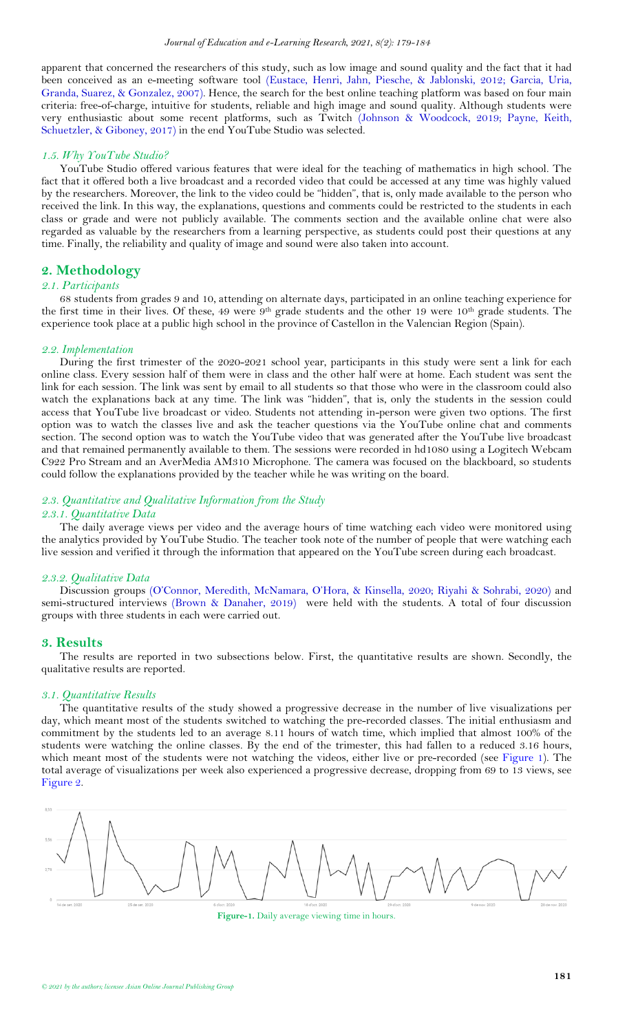apparent that concerned the researchers of this study, such as low image and sound quality and the fact that it had been conceived as an e-meeting software tool [\(Eustace, Henri, Jahn, Piesche, & Jablonski, 2012;](#page-4-21) [Garcia, Uria,](#page-4-22)  [Granda, Suarez, & Gonzalez, 2007\)](#page-4-22). Hence, the search for the best online teaching platform was based on four main criteria: free-of-charge, intuitive for students, reliable and high image and sound quality. Although students were very enthusiastic about some recent platforms, such as Twitch [\(Johnson & Woodcock, 2019;](#page-4-23) [Payne, Keith,](#page-5-9)  [Schuetzler, & Giboney, 2017\)](#page-5-9) in the end YouTube Studio was selected.

### *1.5. Why YouTube Studio?*

YouTube Studio offered various features that were ideal for the teaching of mathematics in high school. The fact that it offered both a live broadcast and a recorded video that could be accessed at any time was highly valued by the researchers. Moreover, the link to the video could be "hidden", that is, only made available to the person who received the link. In this way, the explanations, questions and comments could be restricted to the students in each class or grade and were not publicly available. The comments section and the available online chat were also regarded as valuable by the researchers from a learning perspective, as students could post their questions at any time. Finally, the reliability and quality of image and sound were also taken into account.

## <span id="page-2-0"></span>**2. Methodology**

#### *2.1. Participants*

68 students from grades 9 and 10, attending on alternate days, participated in an online teaching experience for the first time in their lives. Of these, 49 were 9th grade students and the other 19 were 10th grade students. The experience took place at a public high school in the province of Castellon in the Valencian Region (Spain).

#### *2.2. Implementation*

During the first trimester of the 2020-2021 school year, participants in this study were sent a link for each online class. Every session half of them were in class and the other half were at home. Each student was sent the link for each session. The link was sent by email to all students so that those who were in the classroom could also watch the explanations back at any time. The link was "hidden", that is, only the students in the session could access that YouTube live broadcast or video. Students not attending in-person were given two options. The first option was to watch the classes live and ask the teacher questions via the YouTube online chat and comments section. The second option was to watch the YouTube video that was generated after the YouTube live broadcast and that remained permanently available to them. The sessions were recorded in hd1080 using a Logitech Webcam C922 Pro Stream and an AverMedia AM310 Microphone. The camera was focused on the blackboard, so students could follow the explanations provided by the teacher while he was writing on the board.

# *2.3. Quantitative and Qualitative Information from the Study*

## *2.3.1. Quantitative Data*

The daily average views per video and the average hours of time watching each video were monitored using the analytics provided by YouTube Studio. The teacher took note of the number of people that were watching each live session and verified it through the information that appeared on the YouTube screen during each broadcast.

#### *2.3.2. Qualitative Data*

Discussion groups ([O'Connor, Meredith, McNamara, O'Hora, & Kinsella, 2020](#page-5-10); [Riyahi & Sohrabi, 2020\)](#page-5-11) and semi-structured interviews [\(Brown & Danaher, 2019\)](#page-4-24) were held with the students. A total of four discussion groups with three students in each were carried out.

#### <span id="page-2-1"></span>**3. Results**

The results are reported in two subsections below. First, the quantitative results are shown. Secondly, the qualitative results are reported.

#### *3.1. Quantitative Results*

The quantitative results of the study showed a progressive decrease in the number of live visualizations per day, which meant most of the students switched to watching the pre-recorded classes. The initial enthusiasm and commitment by the students led to an average 8.11 hours of watch time, which implied that almost 100% of the students were watching the online classes. By the end of the trimester, this had fallen to a reduced 3.16 hours, which meant most of the students were not watching the videos, either live or pre-recorded (see [Figure 1\)](#page-2-2). The total average of visualizations per week also experienced a progressive decrease, dropping from 69 to 13 views, see [Figure 2.](#page-3-3)

<span id="page-2-2"></span>

**Figure-1.** Daily average viewing time in hours.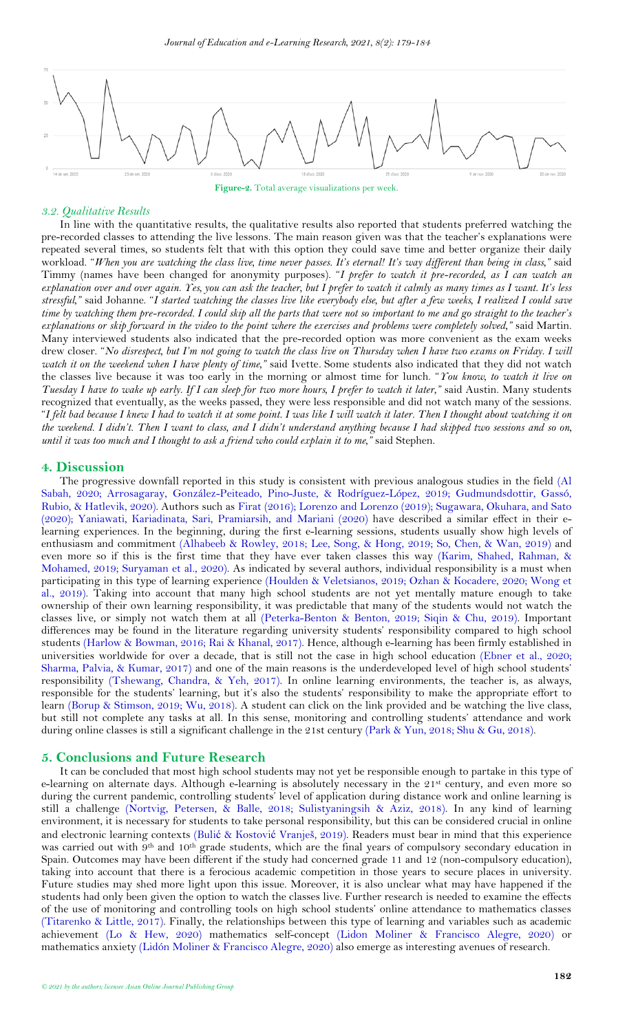<span id="page-3-2"></span>

**Figure-2.** Total average visualizations per week.

### <span id="page-3-3"></span>*3.2. Qualitative Results*

In line with the quantitative results, the qualitative results also reported that students preferred watching the pre-recorded classes to attending the live lessons. The main reason given was that the teacher's explanations were repeated several times, so students felt that with this option they could save time and better organize their daily workload. "*When you are watching the class live, time never passes. It's eternal! It's way different than being in class,"* said Timmy (names have been changed for anonymity purposes). "*I prefer to watch it pre-recorded, as I can watch an explanation over and over again. Yes, you can ask the teacher, but I prefer to watch it calmly as many times as I want. It's less stressful,"* said Johanne. "*I started watching the classes live like everybody else, but after a few weeks, I realized I could save time by watching them pre-recorded. I could skip all the parts that were not so important to me and go straight to the teacher's explanations or skip forward in the video to the point where the exercises and problems were completely solved,"* said Martin. Many interviewed students also indicated that the pre-recorded option was more convenient as the exam weeks drew closer. "*No disrespect, but I'm not going to watch the class live on Thursday when I have two exams on Friday. I will watch it on the weekend when I have plenty of time,"* said Ivette*.* Some students also indicated that they did not watch the classes live because it was too early in the morning or almost time for lunch. "*You know, to watch it live on Tuesday I have to wake up early. If I can sleep for two more hours, I prefer to watch it later,"* said Austin. Many students recognized that eventually, as the weeks passed, they were less responsible and did not watch many of the sessions. "*I felt bad because I knew I had to watch it at some point. I was like I will watch it later. Then I thought about watching it on the weekend. I didn't. Then I want to class, and I didn't understand anything because I had skipped two sessions and so on, until it was too much and I thought to ask a friend who could explain it to me,"* said Stephen.

### <span id="page-3-0"></span>**4. Discussion**

The progressive downfall reported in this study is consistent with previous analogous studies in the field (Al [Sabah, 2020;](#page-4-25) [Arrosagaray, González-Peiteado, Pino-Juste, & Rodríguez-López, 2019;](#page-4-26) [Gudmundsdottir, Gassó,](#page-4-27)  [Rubio, & Hatlevik, 2020\)](#page-4-27). Authors such as [Firat \(2016\)](#page-4-28); [Lorenzo and Lorenzo \(2019\)](#page-5-12); [Sugawara, Okuhara, and Sato](#page-5-13)  [\(2020\)](#page-5-13); [Yaniawati, Kariadinata, Sari, Pramiarsih, and Mariani \(2020\)](#page-5-14) have described a similar effect in their elearning experiences. In the beginning, during the first e-learning sessions, students usually show high levels of enthusiasm and commitment [\(Alhabeeb & Rowley, 2018;](#page-4-29) [Lee, Song, & Hong, 2019;](#page-4-30) [So, Chen, & Wan, 2019\)](#page-5-15) and even more so if this is the first time that they have ever taken classes this way [\(Karim, Shahed, Rahman, &](#page-4-31)  [Mohamed, 2019;](#page-4-31) [Suryaman et al., 2020\)](#page-5-16). As indicated by several authors, individual responsibility is a must when participating in this type of learning experience [\(Houlden & Veletsianos, 2019;](#page-4-32) [Ozhan & Kocadere, 2020;](#page-5-17) [Wong et](#page-5-18)  [al., 2019\)](#page-5-18). Taking into account that many high school students are not yet mentally mature enough to take ownership of their own learning responsibility, it was predictable that many of the students would not watch the classes live, or simply not watch them at all [\(Peterka-Benton & Benton, 2019;](#page-5-19) [Siqin & Chu, 2019\)](#page-5-20). Important differences may be found in the literature regarding university students' responsibility compared to high school students [\(Harlow & Bowman, 2016;](#page-4-33) [Rai & Khanal, 2017\)](#page-5-21). Hence, although e-learning has been firmly established in universities worldwide for over a decade, that is still not the case in high school education [\(Ebner et al., 2020;](#page-4-34) [Sharma, Palvia, & Kumar, 2017\)](#page-5-22) and one of the main reasons is the underdeveloped level of high school students' responsibility [\(Tshewang, Chandra, &](#page-5-23) Yeh, 2017). In online learning environments, the teacher is, as always, responsible for the students' learning, but it's also the students' responsibility to make the appropriate effort to learn [\(Borup & Stimson, 2019;](#page-4-35) [Wu, 2018\)](#page-5-24). A student can click on the link provided and be watching the live class, but still not complete any tasks at all. In this sense, monitoring and controlling students' attendance and work during online classes is still a significant challenge in the 21st century [\(Park & Yun, 2018;](#page-5-25) [Shu & Gu, 2018\)](#page-5-26).

## <span id="page-3-1"></span>**5. Conclusions and Future Research**

It can be concluded that most high school students may not yet be responsible enough to partake in this type of e-learning on alternate days. Although e-learning is absolutely necessary in the 21<sup>st</sup> century, and even more so during the current pandemic, controlling students' level of application during distance work and online learning is still a challenge [\(Nortvig, Petersen, & Balle, 2018;](#page-5-27) [Sulistyaningsih & Aziz, 2018\)](#page-5-28). In any kind of learning environment, it is necessary for students to take personal responsibility, but this can be considered crucial in online and electronic learning contexts (Bulić & Kostović [Vranješ, 2019](#page-4-36)). Readers must bear in mind that this experience was carried out with 9th and 10th grade students, which are the final years of compulsory secondary education in Spain. Outcomes may have been different if the study had concerned grade 11 and 12 (non-compulsory education), taking into account that there is a ferocious academic competition in those years to secure places in university. Future studies may shed more light upon this issue. Moreover, it is also unclear what may have happened if the students had only been given the option to watch the classes live. Further research is needed to examine the effects of the use of monitoring and controlling tools on high school students' online attendance to mathematics classes [\(Titarenko & Little, 2017\)](#page-5-29). Finally, the relationships between this type of learning and variables such as academic achievement [\(Lo & Hew, 2020\)](#page-5-30) mathematics self-concept [\(Lidon Moliner & Francisco Alegre, 2020\)](#page-5-31) or mathematics anxiety [\(Lidón Moliner & Francisco Alegre, 2020\)](#page-5-32) also emerge as interesting avenues of research.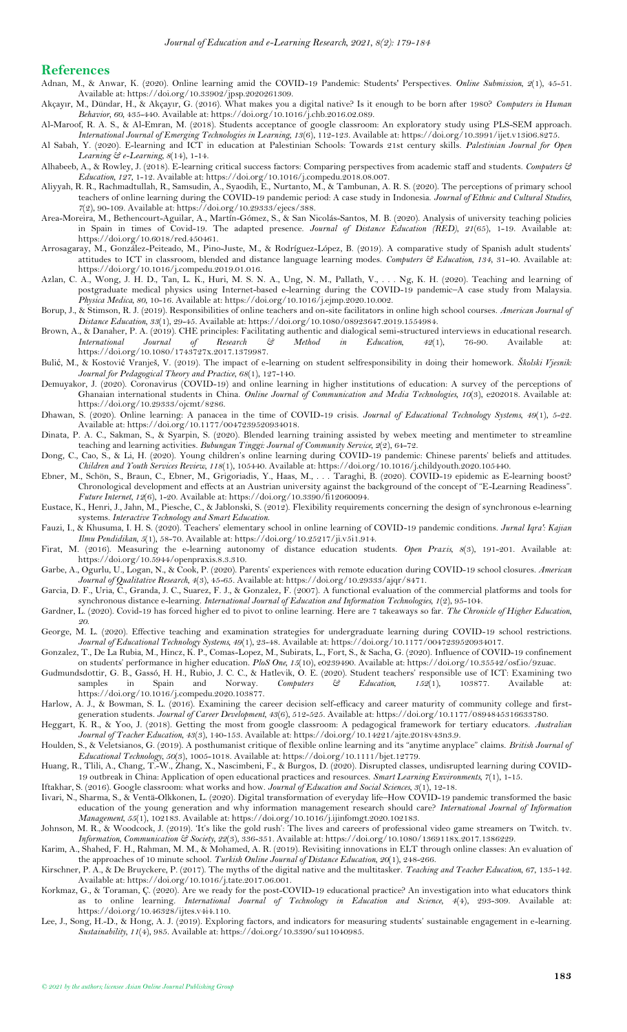#### **References**

- <span id="page-4-3"></span>Adnan, M., & Anwar, K. (2020). Online learning amid the COVID-19 Pandemic: Students' Perspectives. *Online Submission, 2*(1), 45-51. Available at: https://doi.org/10.33902/jpsp.2020261309.
- <span id="page-4-11"></span>Akçayır, M., Dündar, H., & Akçayır, G. (2016). What makes you a digital native? Is it enough to be born after 1980? *Computers in Human Behavior, 60*, 435-440. Available at: https://doi.org/10.1016/j.chb.2016.02.089.
- <span id="page-4-16"></span>Al-Maroof, R. A. S., & Al-Emran, M. (2018). Students acceptance of google classroom: An exploratory study using PLS-SEM approach. *International Journal of Emerging Technologies in Learning, 13*(6), 112-123. Available at: https://doi.org/10.3991/ijet.v13i06.8275.
- <span id="page-4-25"></span>Al Sabah, Y. (2020). E-learning and ICT in education at Palestinian Schools: Towards 21st century skills. *Palestinian Journal for Open Learning & e-Learning, 8*(14), 1-14.
- <span id="page-4-29"></span>Alhabeeb, A., & Rowley, J. (2018). E-learning critical success factors: Comparing perspectives from academic staff and students. *Computers & Education, 127*, 1-12. Available at: https://doi.org/10.1016/j.compedu.2018.08.007.
- <span id="page-4-7"></span>Aliyyah, R. R., Rachmadtullah, R., Samsudin, A., Syaodih, E., Nurtanto, M., & Tambunan, A. R. S. (2020). The perceptions of primary school teachers of online learning during the COVID-19 pandemic period: A case study in Indonesia. *Journal of Ethnic and Cultural Studies, 7*(2), 90-109. Available at: https://doi.org/10.29333/ejecs/388.
- <span id="page-4-14"></span>Area-Moreira, M., Bethencourt-Aguilar, A., Martín-Gómez, S., & San Nicolás-Santos, M. B. (2020). Analysis of university teaching policies in Spain in times of Covid-19. The adapted presence. *Journal of Distance Education (RED), 21*(65), 1-19. Available at: https://doi.org/10.6018/red.450461.
- <span id="page-4-26"></span>Arrosagaray, M., González-Peiteado, M., Pino-Juste, M., & Rodríguez-López, B. (2019). A comparative study of Spanish adult students' attitudes to ICT in classroom, blended and distance language learning modes. *Computers & Education, 134*, 31-40. Available at: https://doi.org/10.1016/j.compedu.2019.01.016.
- <span id="page-4-19"></span>Azlan, C. A., Wong, J. H. D., Tan, L. K., Huri, M. S. N. A., Ung, N. M., Pallath, V., . . . Ng, K. H. (2020). Teaching and learning of postgraduate medical physics using Internet-based e-learning during the COVID-19 pandemic–A case study from Malaysia. *Physica Medica, 80*, 10-16. Available at: https://doi.org/10.1016/j.ejmp.2020.10.002.
- <span id="page-4-35"></span>Borup, J., & Stimson, R. J. (2019). Responsibilities of online teachers and on-site facilitators in online high school courses. *American Journal of Distance Education, 33*(1), 29-45. Available at: https://doi.org/10.1080/08923647.2019.1554984.
- <span id="page-4-24"></span>Brown, A., & Danaher, P. A. (2019). CHE principles: Facilitating authentic and dialogical semi-structured interviews in educational research. *International Journal of Research & Method in Education, 42*(1), 76-90. Available at:  $\begin{tabular}{l} International & Journal \\ \end{tabular} \begin{tabular}{c} {\footnotesize \begin{tabular}{c} {\footnotesize \begin{array}{c} {\footnotesize \begin{array}{c} {\footnotesize \begin{array}{c} {\footnotesize \begin{array}{c} {\footnotesize \begin{array}{c} {\footnotesize \begin{array}{c} {\footnotesize \begin{array}{c} {\footnotesize \begin{array}{c} {\footnotesize \begin{array}{c} {\footnotesize \begin{array}{c} {\footnotesize \begin{array}{c} {\footnotesize \begin{array}{c} {\footnotesize \begin{array}{c} {\footnotesize \begin{array}{c} {\footnotesize \begin{array}{c} {\footnotesize \begin{array}{c} {\footnotesize \begin$
- <span id="page-4-36"></span>Bulić, M., & Kostović Vranješ, V. (2019). The impact of e-learning on student selfresponsibility in doing their homework. *Školski Vjesnik: Journal for Pedagogical Theory and Practice, 68*(1), 127-140.
- <span id="page-4-5"></span>Demuyakor, J. (2020). Coronavirus (COVID-19) and online learning in higher institutions of education: A survey of the perceptions of Ghanaian international students in China. *Online Journal of Communication and Media Technologies, 10*(3), e202018. Available at: https://doi.org/10.29333/ojcmt/8286.
- <span id="page-4-4"></span>Dhawan, S. (2020). Online learning: A panacea in the time of COVID-19 crisis. *Journal of Educational Technology Systems, 49*(1), 5-22. Available at: https://doi.org/10.1177/0047239520934018.
- <span id="page-4-20"></span>Dinata, P. A. C., Sakman, S., & Syarpin, S. (2020). Blended learning training assisted by webex meeting and mentimeter to streamline teaching and learning activities. *Bubungan Tinggi: Journal of Community Service, 2*(2), 64-72.
- <span id="page-4-0"></span>Dong, C., Cao, S., & Li, H. (2020). Young children's online learning during COVID-19 pandemic: Chinese parents' beliefs and attitudes. *Children and Youth Services Review, 118*(1), 105440. Available at: https://doi.org/10.1016/j.childyouth.2020.105440.
- <span id="page-4-34"></span>Ebner, M., Schön, S., Braun, C., Ebner, M., Grigoriadis, Y., Haas, M., . . . Taraghi, B. (2020). COVID-19 epidemic as E-learning boost? Chronological development and effects at an Austrian university against the background of the concept of "E-Learning Readiness". *Future Internet, 12*(6), 1-20. Available at: https://doi.org/10.3390/fi12060094.
- <span id="page-4-21"></span>Eustace, K., Henri, J., Jahn, M., Piesche, C., & Jablonski, S. (2012). Flexibility requirements concerning the design of synchronous e-learning systems. *Interactive Technology and Smart Education*.
- <span id="page-4-8"></span>Fauzi, I., & Khusuma, I. H. S. (2020). Teachers' elementary school in online learning of COVID-19 pandemic conditions. *Jurnal Iqra': Kajian Ilmu Pendidikan, 5*(1), 58-70. Available at: https://doi.org/10.25217/ji.v5i1.914.
- <span id="page-4-28"></span>Firat, M. (2016). Measuring the e-learning autonomy of distance education students. *Open Praxis, 8*(3), 191-201. Available at: https://doi.org/10.5944/openpraxis.8.3.310.
- <span id="page-4-10"></span>Garbe, A., Ogurlu, U., Logan, N., & Cook, P. (2020). Parents' experiences with remote education during COVID-19 school closures. *American Journal of Qualitative Research, 4*(3), 45-65. Available at: https://doi.org/10.29333/ajqr/8471.
- <span id="page-4-22"></span>Garcia, D. F., Uria, C., Granda, J. C., Suarez, F. J., & Gonzalez, F. (2007). A functional evaluation of the commercial platforms and tools for synchronous distance e-learning. *International Journal of Education and Information Technologies, 1*(2), 95-104.
- <span id="page-4-6"></span>Gardner, L. (2020). Covid-19 has forced higher ed to pivot to online learning. Here are 7 takeaways so far. *The Chronicle of Higher Education, 20*.
- <span id="page-4-2"></span>George, M. L. (2020). Effective teaching and examination strategies for undergraduate learning during COVID-19 school restrictions. *Journal of Educational Technology Systems, 49*(1), 23-48. Available at: https://doi.org/10.1177/0047239520934017.
- <span id="page-4-15"></span>Gonzalez, T., De La Rubia, M., Hincz, K. P., Comas-Lopez, M., Subirats, L., Fort, S., & Sacha, G. (2020). Influence of COVID-19 confinement on students' performance in higher education. *PloS One, 15*(10), e0239490. Available at: https://doi.org/10.35542/osf.io/9zuac.
- <span id="page-4-27"></span>Gudmundsdottir, G. B., Gassó, H. H., Rubio, J. C. C., & Hatlevik, O. E. (2020). Student teachers' responsible use of ICT: Examining two samples in Spain and Norway. Computers  $\mathcal{G}$  Education, 152(1), 103877. Available a samples in Spain and Norway. *Computers & Education, 152*(1), 103877. Available at: https://doi.org/10.1016/j.compedu.2020.103877.
- <span id="page-4-33"></span>Harlow, A. J., & Bowman, S. L. (2016). Examining the career decision self-efficacy and career maturity of community college and firstgeneration students. *Journal of Career Development, 43*(6), 512-525. Available at: https://doi.org/10.1177/0894845316633780.
- <span id="page-4-17"></span>Heggart, K. R., & Yoo, J. (2018). Getting the most from google classroom: A pedagogical framework for tertiary educators. *Australian Journal of Teacher Education, 43*(3), 140-153. Available at: https://doi.org/10.14221/ajte.2018v43n3.9.
- <span id="page-4-32"></span>Houlden, S., & Veletsianos, G. (2019). A posthumanist critique of flexible online learning and its "anytime anyplace" claims. *British Journal of Educational Technology, 50*(3), 1005-1018. Available at: https://doi.org/10.1111/bjet.12779.
- <span id="page-4-1"></span>Huang, R., Tlili, A., Chang, T.-W., Zhang, X., Nascimbeni, F., & Burgos, D. (2020). Disrupted classes, undisrupted learning during COVID-19 outbreak in China: Application of open educational practices and resources. *Smart Learning Environments, 7*(1), 1-15.
- <span id="page-4-18"></span>Iftakhar, S. (2016). Google classroom: what works and how. *Journal of Education and Social Sciences, 3*(1), 12-18.
- <span id="page-4-13"></span>Iivari, N., Sharma, S., & Ventä-Olkkonen, L. (2020). Digital transformation of everyday life–How COVID-19 pandemic transformed the basic education of the young generation and why information management research should care? *International Journal of Information Management, 55*(1), 102183. Available at: https://doi.org/10.1016/j.ijinfomgt.2020.102183.
- <span id="page-4-23"></span>Johnson, M. R., & Woodcock, J. (2019). 'It's like the gold rush': The lives and careers of professional video game streamers on Twitch. tv. *Information, Communication & Society, 22*(3), 336-351. Available at: https://doi.org/10.1080/1369118x.2017.1386229.
- <span id="page-4-31"></span>Karim, A., Shahed, F. H., Rahman, M. M., & Mohamed, A. R. (2019). Revisiting innovations in ELT through online classes: An evaluation of the approaches of 10 minute school. *Turkish Online Journal of Distance Education, 20*(1), 248-266.
- <span id="page-4-12"></span>Kirschner, P. A., & De Bruyckere, P. (2017). The myths of the digital native and the multitasker. *Teaching and Teacher Education, 67*, 135-142. Available at: https://doi.org/10.1016/j.tate.2017.06.001.
- <span id="page-4-9"></span>Korkmaz, G., & Toraman, Ç. (2020). Are we ready for the post-COVID-19 educational practice? An investigation into what educators think as to online learning. *International Journal of Technology in Education and Science, 4*(4), 293-309. Available at: https://doi.org/10.46328/ijtes.v4i4.110.
- <span id="page-4-30"></span>Lee, J., Song, H.-D., & Hong, A. J. (2019). Exploring factors, and indicators for measuring students' sustainable engagement in e-learning. *Sustainability, 11*(4), 985. Available at: https://doi.org/10.3390/su11040985.